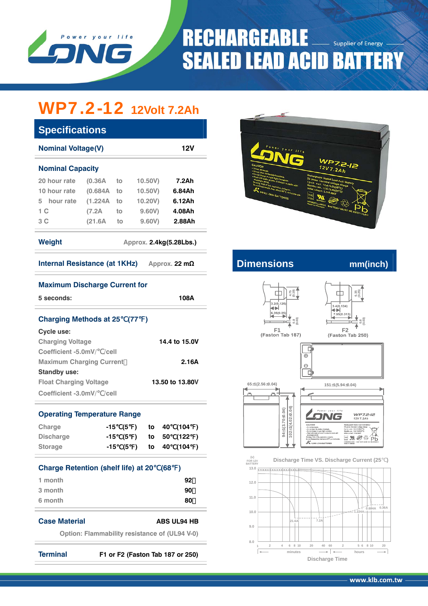

## **RECHARGEABLE Supplier of Energy SEALED LEAD ACID BATTERY**

# WP7.2-12 **12Volt 7.2Ah**

| <b>Specifications</b>                                        |          |    |         |        |  |  |  |  |  |  |  |
|--------------------------------------------------------------|----------|----|---------|--------|--|--|--|--|--|--|--|
| <b>Nominal Voltage(V)</b><br><b>12V</b>                      |          |    |         |        |  |  |  |  |  |  |  |
| <b>Nominal Capacity</b>                                      |          |    |         |        |  |  |  |  |  |  |  |
| 20 hour rate                                                 | (0.36A)  | to | 10.50V) | 7.2Ah  |  |  |  |  |  |  |  |
| 10 hour rate                                                 | (0.684A) | to | 10.50V) | 6.84Ah |  |  |  |  |  |  |  |
| hour rate<br>5                                               | (1.224A  | to | 10.20V) | 6.12Ah |  |  |  |  |  |  |  |
| 1 C                                                          | (7.2A    | to | 9.60V)  | 4.08Ah |  |  |  |  |  |  |  |
| 3 C                                                          | (21.6A   | to | 9.60V)  | 2.88Ah |  |  |  |  |  |  |  |
| Weight<br>Approx. 2.4kg(5.28Lbs.)                            |          |    |         |        |  |  |  |  |  |  |  |
| <b>Internal Resistance (at 1KHz)</b><br>Approx. 22 $m\Omega$ |          |    |         |        |  |  |  |  |  |  |  |
|                                                              |          |    |         |        |  |  |  |  |  |  |  |

| <b>Maximum Discharge Current for</b>                 |                                  |      |       |     |                    |  |
|------------------------------------------------------|----------------------------------|------|-------|-----|--------------------|--|
| 5 seconds:                                           |                                  |      | 108A  |     |                    |  |
| <b>Charging Methods at 25</b>                        |                                  | (77) |       |     |                    |  |
| Cycle use:                                           |                                  |      |       |     |                    |  |
| <b>Charging Voltage</b>                              |                                  |      |       |     | 14.4 to 15.0V      |  |
| Coefficient -5.0mV/ /cell                            |                                  |      |       |     |                    |  |
| <b>Maximum Charging Current</b>                      |                                  |      | 2.16A |     |                    |  |
| <b>Standby use:</b>                                  |                                  |      |       |     |                    |  |
| <b>Float Charging Voltage</b>                        | 13.50 to 13.80V                  |      |       |     |                    |  |
| Coefficient -3.0mV/ /cell                            |                                  |      |       |     |                    |  |
| <b>Operating Temperature Range</b>                   |                                  |      |       |     |                    |  |
| Charge                                               | -15                              | (5)  | to    | 40  | (104)              |  |
| <b>Discharge</b>                                     | -15 (5 )                         |      | to    | 50  | (122)              |  |
| <b>Storage</b>                                       | -15 (5 )                         |      | to    | 40  | (104)              |  |
| <b>Charge Retention (shelf life) at 20</b>           |                                  |      |       | (68 | $\lambda$          |  |
| 1 month                                              |                                  |      |       |     | 92                 |  |
| 3 month                                              |                                  |      |       |     | 90                 |  |
| 6 month                                              |                                  |      |       |     | 80                 |  |
| <b>Case Material</b>                                 |                                  |      |       |     | <b>ABS UL94 HB</b> |  |
| <b>Option: Flammability resistance of (UL94 V-0)</b> |                                  |      |       |     |                    |  |
| <b>Terminal</b>                                      | F1 or F2 (Faston Tab 187 or 250) |      |       |     |                    |  |



**Internal Resistance (AD** mm(inch)









G  $\overline{\oplus}$  $\Theta$  $\overline{C}$